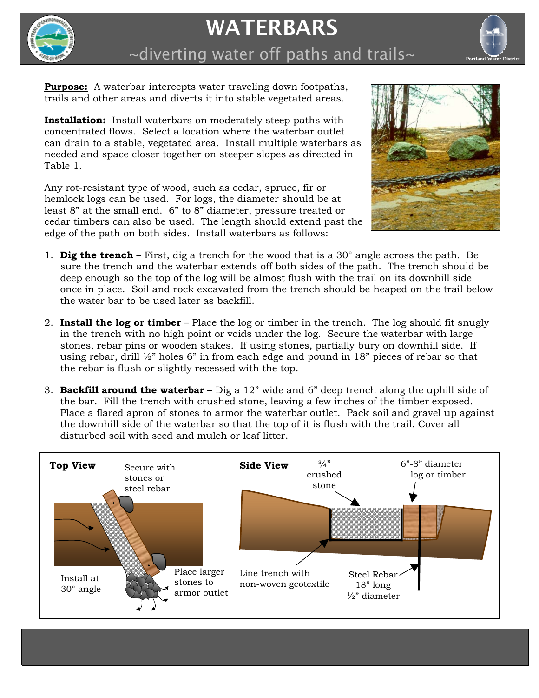

## WATERBARS

 $\sim$ diverting water off paths and trails $\sim$ 



**Purpose:** A waterbar intercepts water traveling down footpaths, trails and other areas and diverts it into stable vegetated areas.

**Installation:** Install waterbars on moderately steep paths with concentrated flows. Select a location where the waterbar outlet can drain to a stable, vegetated area. Install multiple waterbars as needed and space closer together on steeper slopes as directed in Table 1.

Any rot-resistant type of wood, such as cedar, spruce, fir or hemlock logs can be used. For logs, the diameter should be at least 8" at the small end. 6" to 8" diameter, pressure treated or cedar timbers can also be used. The length should extend past the edge of the path on both sides. Install waterbars as follows:



- 1. **Dig the trench** First, dig a trench for the wood that is a 30° angle across the path. Be sure the trench and the waterbar extends off both sides of the path. The trench should be deep enough so the top of the log will be almost flush with the trail on its downhill side once in place. Soil and rock excavated from the trench should be heaped on the trail below the water bar to be used later as backfill.
- 2. **Install the log or timber**  Place the log or timber in the trench. The log should fit snugly in the trench with no high point or voids under the log. Secure the waterbar with large stones, rebar pins or wooden stakes. If using stones, partially bury on downhill side. If using rebar, drill  $\frac{1}{2}$ " holes 6" in from each edge and pound in 18" pieces of rebar so that the rebar is flush or slightly recessed with the top.
- 3. **Backfill around the waterbar**  Dig a 12" wide and 6" deep trench along the uphill side of the bar. Fill the trench with crushed stone, leaving a few inches of the timber exposed. Place a flared apron of stones to armor the waterbar outlet. Pack soil and gravel up against the downhill side of the waterbar so that the top of it is flush with the trail. Cover all disturbed soil with seed and mulch or leaf litter.